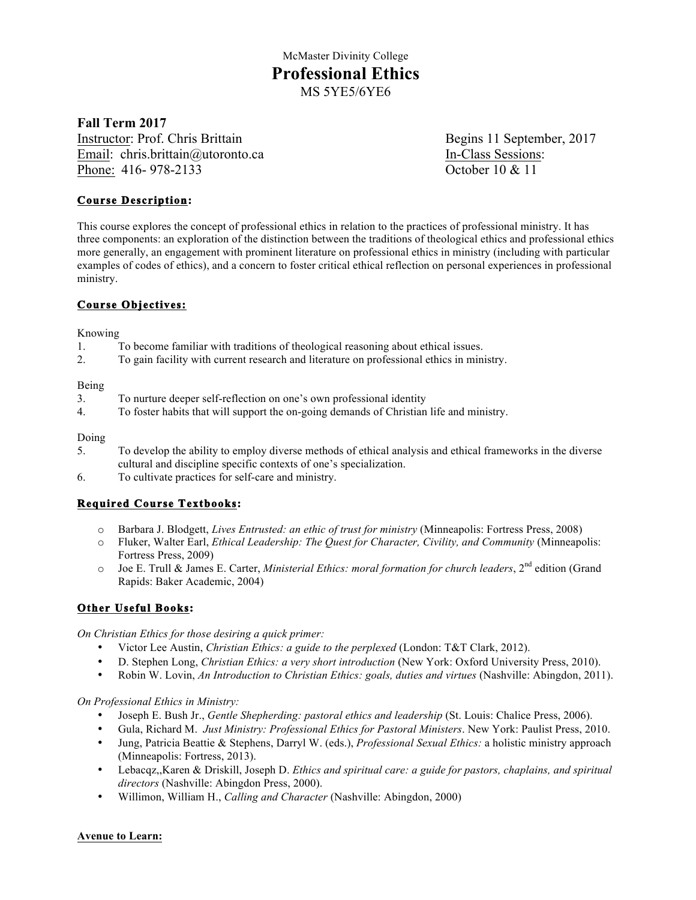### **Fall Term 2017**

Instructor: Prof. Chris Brittain Begins 11 September, 2017 Email: chris.brittain@utoronto.ca In-Class Sessions: Phone: 416-978-2133 October 10 & 11

### **Course Description:**

This course explores the concept of professional ethics in relation to the practices of professional ministry. It has three components: an exploration of the distinction between the traditions of theological ethics and professional ethics more generally, an engagement with prominent literature on professional ethics in ministry (including with particular examples of codes of ethics), and a concern to foster critical ethical reflection on personal experiences in professional ministry.

### **Course Objectives:**

Knowing

- 1. To become familiar with traditions of theological reasoning about ethical issues.
- 2. To gain facility with current research and literature on professional ethics in ministry.

#### Being

- 3. To nurture deeper self-reflection on one's own professional identity
- 4. To foster habits that will support the on-going demands of Christian life and ministry.

Doing

- 5. To develop the ability to employ diverse methods of ethical analysis and ethical frameworks in the diverse cultural and discipline specific contexts of one's specialization.
- 6. To cultivate practices for self-care and ministry.

## **Required Course Textbooks:**

- o Barbara J. Blodgett, *Lives Entrusted: an ethic of trust for ministry* (Minneapolis: Fortress Press, 2008)
- o Fluker, Walter Earl, *Ethical Leadership: The Quest for Character, Civility, and Community* (Minneapolis: Fortress Press, 2009)
- o Joe E. Trull & James E. Carter, *Ministerial Ethics: moral formation for church leaders*, 2nd edition (Grand Rapids: Baker Academic, 2004)

### **Other Useful Books:**

*On Christian Ethics for those desiring a quick primer:*

- Victor Lee Austin, *Christian Ethics: a guide to the perplexed* (London: T&T Clark, 2012).
- D. Stephen Long, *Christian Ethics: a very short introduction* (New York: Oxford University Press, 2010).
- Robin W. Lovin, *An Introduction to Christian Ethics: goals, duties and virtues* (Nashville: Abingdon, 2011).

*On Professional Ethics in Ministry:*

- Joseph E. Bush Jr., *Gentle Shepherding: pastoral ethics and leadership* (St. Louis: Chalice Press, 2006).
- Gula, Richard M. *Just Ministry: Professional Ethics for Pastoral Ministers*. New York: Paulist Press, 2010.
- Jung, Patricia Beattie & Stephens, Darryl W. (eds.), *Professional Sexual Ethics:* a holistic ministry approach (Minneapolis: Fortress, 2013).
- Lebacqz,,Karen & Driskill, Joseph D. *Ethics and spiritual care: a guide for pastors, chaplains, and spiritual directors* (Nashville: Abingdon Press, 2000).
- Willimon, William H., *Calling and Character* (Nashville: Abingdon, 2000)

### **Avenue to Learn:**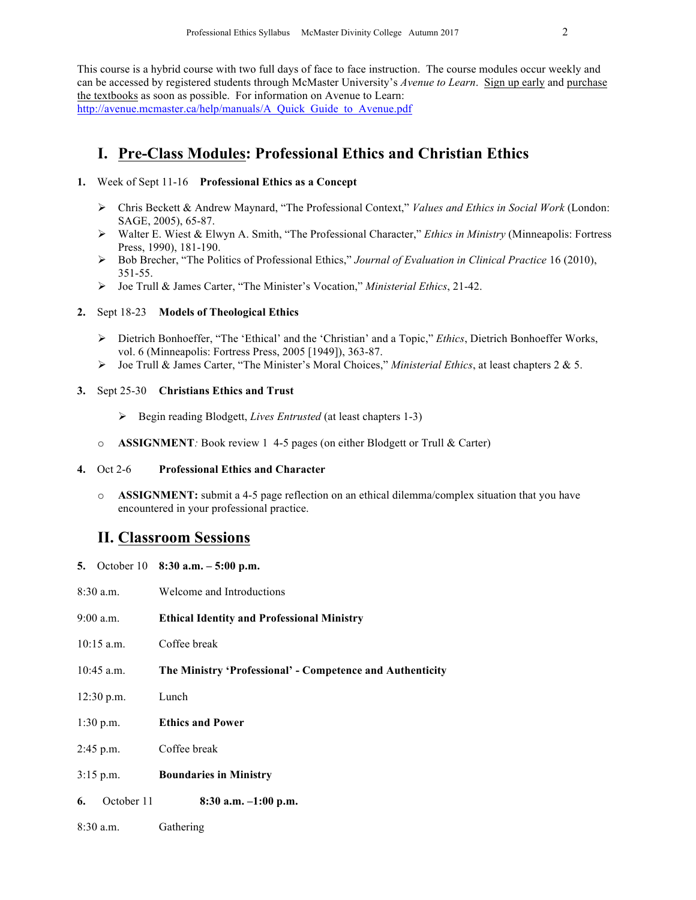This course is a hybrid course with two full days of face to face instruction. The course modules occur weekly and can be accessed by registered students through McMaster University's *Avenue to Learn*. Sign up early and purchase the textbooks as soon as possible. For information on Avenue to Learn: http://avenue.mcmaster.ca/help/manuals/A\_Quick\_Guide\_to\_Avenue.pdf

# **I. Pre-Class Modules: Professional Ethics and Christian Ethics**

### **1.** Week of Sept 11-16 **Professional Ethics as a Concept**

- Ø Chris Beckett & Andrew Maynard, "The Professional Context," *Values and Ethics in Social Work* (London: SAGE, 2005), 65-87.
- Ø Walter E. Wiest & Elwyn A. Smith, "The Professional Character," *Ethics in Ministry* (Minneapolis: Fortress Press, 1990), 181-190.
- Ø Bob Brecher, "The Politics of Professional Ethics," *Journal of Evaluation in Clinical Practice* 16 (2010), 351-55.
- Ø Joe Trull & James Carter, "The Minister's Vocation," *Ministerial Ethics*, 21-42.

### **2.** Sept 18-23 **Models of Theological Ethics**

- Ø Dietrich Bonhoeffer, "The 'Ethical' and the 'Christian' and a Topic," *Ethics*, Dietrich Bonhoeffer Works, vol. 6 (Minneapolis: Fortress Press, 2005 [1949]), 363-87.
- Ø Joe Trull & James Carter, "The Minister's Moral Choices," *Ministerial Ethics*, at least chapters 2 & 5.
- **3.** Sept 25-30 **Christians Ethics and Trust**
	- Ø Begin reading Blodgett, *Lives Entrusted* (at least chapters 1-3)
	- o **ASSIGNMENT***:* Book review 1 4-5 pages (on either Blodgett or Trull & Carter)

#### **4.** Oct 2-6 **Professional Ethics and Character**

o **ASSIGNMENT:** submit a 4-5 page reflection on an ethical dilemma/complex situation that you have encountered in your professional practice.

## **II. Classroom Sessions**

- **5.** October 10 **8:30 a.m. – 5:00 p.m.**
- 8:30 a.m. Welcome and Introductions
- 9:00 a.m. **Ethical Identity and Professional Ministry**
- 10:15 a.m. Coffee break
- 10:45 a.m. **The Ministry 'Professional' - Competence and Authenticity**
- 12:30 p.m. Lunch
- 1:30 p.m. **Ethics and Power**
- 2:45 p.m. Coffee break
- 3:15 p.m. **Boundaries in Ministry**
- **6.** October 11 **8:30 a.m. –1:00 p.m.**
- 8:30 a.m. Gathering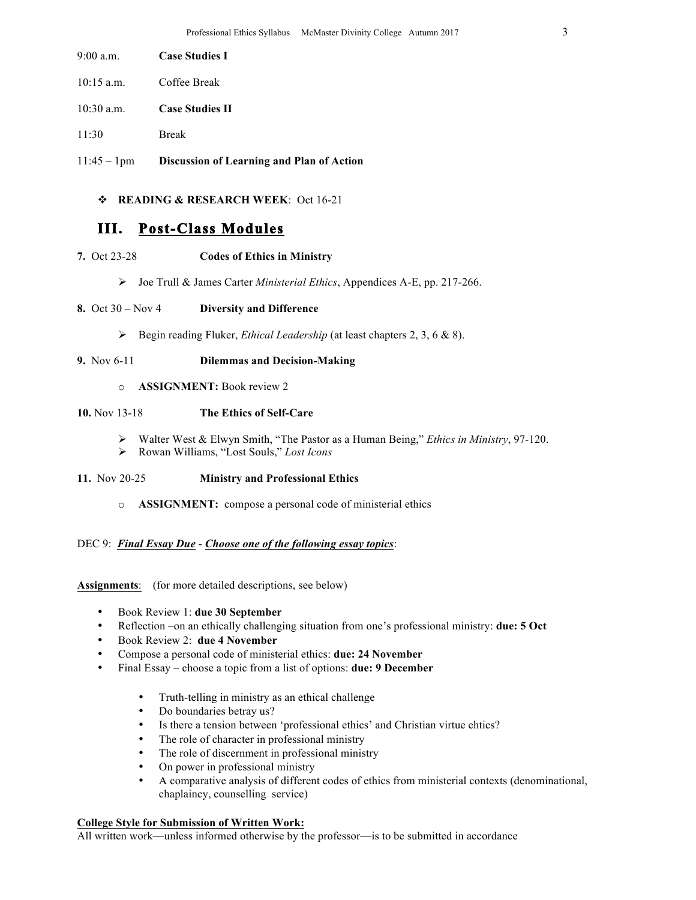- 9:00 a.m. **Case Studies I**
- 10:15 a.m. Coffee Break
- 10:30 a.m. **Case Studies II**
- 11:30 Break
- 11:45 1pm **Discussion of Learning and Plan of Action**

### v **READING & RESEARCH WEEK**: Oct 16-21

# **III. Post-Class Modules**

- **7.** Oct 23-28 **Codes of Ethics in Ministry**
	- Ø Joe Trull & James Carter *Ministerial Ethics*, Appendices A-E, pp. 217-266.

### **8.** Oct 30 – Nov 4 **Diversity and Difference**

- Ø Begin reading Fluker, *Ethical Leadership* (at least chapters 2, 3, 6 & 8).
- **9.** Nov 6-11 **Dilemmas and Decision-Making**
	- o **ASSIGNMENT:** Book review 2

### **10.** Nov 13-18 **The Ethics of Self-Care**

- Ø Walter West & Elwyn Smith, "The Pastor as a Human Being," *Ethics in Ministry*, 97-120.
- Ø Rowan Williams, "Lost Souls," *Lost Icons*

### **11.** Nov 20-25 **Ministry and Professional Ethics**

o **ASSIGNMENT:** compose a personal code of ministerial ethics

### DEC 9: *Final Essay Due* - *Choose one of the following essay topics*:

**Assignments**: (for more detailed descriptions, see below)

- Book Review 1: **due 30 September**
- Reflection –on an ethically challenging situation from one's professional ministry: **due: 5 Oct**
- Book Review 2: **due 4 November**
- Compose a personal code of ministerial ethics: **due: 24 November**
- Final Essay choose a topic from a list of options: **due: 9 December**
	- Truth-telling in ministry as an ethical challenge
	- Do boundaries betray us?
	- Is there a tension between 'professional ethics' and Christian virtue ehtics?
	- The role of character in professional ministry
	- The role of discernment in professional ministry
	- On power in professional ministry
	- A comparative analysis of different codes of ethics from ministerial contexts (denominational, chaplaincy, counselling service)

#### **College Style for Submission of Written Work:**

All written work—unless informed otherwise by the professor—is to be submitted in accordance